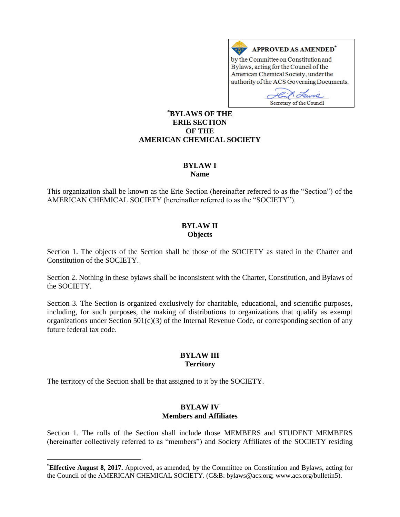

by the Committee on Constitution and Bylaws, acting for the Council of the American Chemical Society, under the authority of the ACS Governing Documents.

w Secretary of the Council

### **\*BYLAWS OF THE ERIE SECTION OF THE AMERICAN CHEMICAL SOCIETY**

# **BYLAW I**

**Name**

This organization shall be known as the Erie Section (hereinafter referred to as the "Section") of the AMERICAN CHEMICAL SOCIETY (hereinafter referred to as the "SOCIETY").

### **BYLAW II Objects**

Section 1. The objects of the Section shall be those of the SOCIETY as stated in the Charter and Constitution of the SOCIETY.

Section 2. Nothing in these bylaws shall be inconsistent with the Charter, Constitution, and Bylaws of the SOCIETY.

Section 3. The Section is organized exclusively for charitable, educational, and scientific purposes, including, for such purposes, the making of distributions to organizations that qualify as exempt organizations under Section  $501(c)(3)$  of the Internal Revenue Code, or corresponding section of any future federal tax code.

# **BYLAW III Territory**

The territory of the Section shall be that assigned to it by the SOCIETY.

 $\overline{a}$ 

# **BYLAW IV Members and Affiliates**

Section 1. The rolls of the Section shall include those MEMBERS and STUDENT MEMBERS (hereinafter collectively referred to as "members") and Society Affiliates of the SOCIETY residing

**<sup>\*</sup>Effective August 8, 2017.** Approved, as amended, by the Committee on Constitution and Bylaws, acting for the Council of the AMERICAN CHEMICAL SOCIETY. (C&B: bylaws@acs.org; www.acs.org/bulletin5).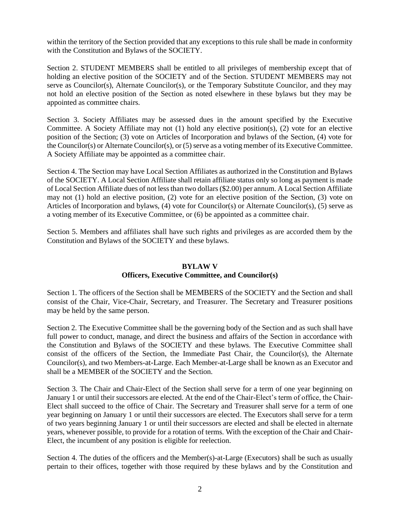within the territory of the Section provided that any exceptions to this rule shall be made in conformity with the Constitution and Bylaws of the SOCIETY.

Section 2. STUDENT MEMBERS shall be entitled to all privileges of membership except that of holding an elective position of the SOCIETY and of the Section. STUDENT MEMBERS may not serve as Councilor(s), Alternate Councilor(s), or the Temporary Substitute Councilor, and they may not hold an elective position of the Section as noted elsewhere in these bylaws but they may be appointed as committee chairs.

Section 3. Society Affiliates may be assessed dues in the amount specified by the Executive Committee. A Society Affiliate may not (1) hold any elective position(s), (2) vote for an elective position of the Section; (3) vote on Articles of Incorporation and bylaws of the Section, (4) vote for the Councilor(s) or Alternate Councilor(s), or (5) serve as a voting member of its Executive Committee. A Society Affiliate may be appointed as a committee chair.

Section 4. The Section may have Local Section Affiliates as authorized in the Constitution and Bylaws of the SOCIETY. A Local Section Affiliate shall retain affiliate status only so long as payment is made of Local Section Affiliate dues of not less than two dollars (\$2.00) per annum. A Local Section Affiliate may not (1) hold an elective position, (2) vote for an elective position of the Section, (3) vote on Articles of Incorporation and bylaws, (4) vote for Councilor(s) or Alternate Councilor(s), (5) serve as a voting member of its Executive Committee, or (6) be appointed as a committee chair.

Section 5. Members and affiliates shall have such rights and privileges as are accorded them by the Constitution and Bylaws of the SOCIETY and these bylaws.

# **BYLAW V Officers, Executive Committee, and Councilor(s)**

Section 1. The officers of the Section shall be MEMBERS of the SOCIETY and the Section and shall consist of the Chair, Vice-Chair, Secretary, and Treasurer. The Secretary and Treasurer positions may be held by the same person.

Section 2. The Executive Committee shall be the governing body of the Section and as such shall have full power to conduct, manage, and direct the business and affairs of the Section in accordance with the Constitution and Bylaws of the SOCIETY and these bylaws. The Executive Committee shall consist of the officers of the Section, the Immediate Past Chair, the Councilor(s), the Alternate Councilor(s), and two Members-at-Large. Each Member-at-Large shall be known as an Executor and shall be a MEMBER of the SOCIETY and the Section.

Section 3. The Chair and Chair-Elect of the Section shall serve for a term of one year beginning on January 1 or until their successors are elected. At the end of the Chair-Elect's term of office, the Chair-Elect shall succeed to the office of Chair. The Secretary and Treasurer shall serve for a term of one year beginning on January 1 or until their successors are elected. The Executors shall serve for a term of two years beginning January 1 or until their successors are elected and shall be elected in alternate years, whenever possible, to provide for a rotation of terms. With the exception of the Chair and Chair-Elect, the incumbent of any position is eligible for reelection.

Section 4. The duties of the officers and the Member(s)-at-Large (Executors) shall be such as usually pertain to their offices, together with those required by these bylaws and by the Constitution and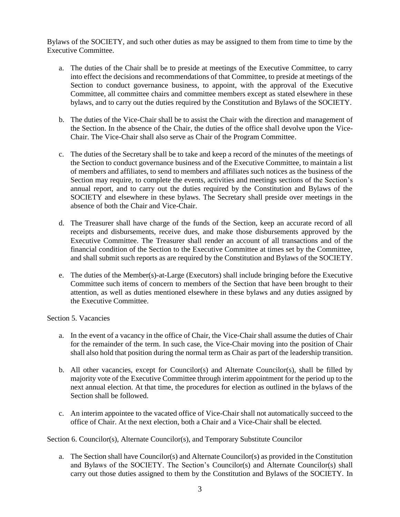Bylaws of the SOCIETY, and such other duties as may be assigned to them from time to time by the Executive Committee.

- a. The duties of the Chair shall be to preside at meetings of the Executive Committee, to carry into effect the decisions and recommendations of that Committee, to preside at meetings of the Section to conduct governance business, to appoint, with the approval of the Executive Committee, all committee chairs and committee members except as stated elsewhere in these bylaws, and to carry out the duties required by the Constitution and Bylaws of the SOCIETY.
- b. The duties of the Vice-Chair shall be to assist the Chair with the direction and management of the Section. In the absence of the Chair, the duties of the office shall devolve upon the Vice-Chair. The Vice-Chair shall also serve as Chair of the Program Committee.
- c. The duties of the Secretary shall be to take and keep a record of the minutes of the meetings of the Section to conduct governance business and of the Executive Committee, to maintain a list of members and affiliates, to send to members and affiliates such notices as the business of the Section may require, to complete the events, activities and meetings sections of the Section's annual report, and to carry out the duties required by the Constitution and Bylaws of the SOCIETY and elsewhere in these bylaws. The Secretary shall preside over meetings in the absence of both the Chair and Vice-Chair.
- d. The Treasurer shall have charge of the funds of the Section, keep an accurate record of all receipts and disbursements, receive dues, and make those disbursements approved by the Executive Committee. The Treasurer shall render an account of all transactions and of the financial condition of the Section to the Executive Committee at times set by the Committee, and shall submit such reports as are required by the Constitution and Bylaws of the SOCIETY.
- e. The duties of the Member(s)-at-Large (Executors) shall include bringing before the Executive Committee such items of concern to members of the Section that have been brought to their attention, as well as duties mentioned elsewhere in these bylaws and any duties assigned by the Executive Committee.

Section 5. Vacancies

- a. In the event of a vacancy in the office of Chair, the Vice-Chair shall assume the duties of Chair for the remainder of the term. In such case, the Vice-Chair moving into the position of Chair shall also hold that position during the normal term as Chair as part of the leadership transition.
- b. All other vacancies, except for Councilor(s) and Alternate Councilor(s), shall be filled by majority vote of the Executive Committee through interim appointment for the period up to the next annual election. At that time, the procedures for election as outlined in the bylaws of the Section shall be followed.
- c. An interim appointee to the vacated office of Vice-Chair shall not automatically succeed to the office of Chair. At the next election, both a Chair and a Vice-Chair shall be elected.

Section 6. Councilor(s), Alternate Councilor(s), and Temporary Substitute Councilor

a. The Section shall have Councilor(s) and Alternate Councilor(s) as provided in the Constitution and Bylaws of the SOCIETY. The Section's Councilor(s) and Alternate Councilor(s) shall carry out those duties assigned to them by the Constitution and Bylaws of the SOCIETY. In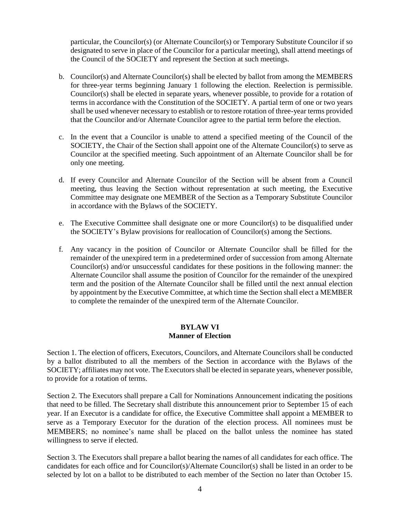particular, the Councilor(s) (or Alternate Councilor(s) or Temporary Substitute Councilor if so designated to serve in place of the Councilor for a particular meeting), shall attend meetings of the Council of the SOCIETY and represent the Section at such meetings.

- b. Councilor(s) and Alternate Councilor(s) shall be elected by ballot from among the MEMBERS for three-year terms beginning January 1 following the election. Reelection is permissible. Councilor(s) shall be elected in separate years, whenever possible, to provide for a rotation of terms in accordance with the Constitution of the SOCIETY. A partial term of one or two years shall be used whenever necessary to establish or to restore rotation of three-year terms provided that the Councilor and/or Alternate Councilor agree to the partial term before the election.
- c. In the event that a Councilor is unable to attend a specified meeting of the Council of the SOCIETY, the Chair of the Section shall appoint one of the Alternate Councilor(s) to serve as Councilor at the specified meeting. Such appointment of an Alternate Councilor shall be for only one meeting.
- d. If every Councilor and Alternate Councilor of the Section will be absent from a Council meeting, thus leaving the Section without representation at such meeting, the Executive Committee may designate one MEMBER of the Section as a Temporary Substitute Councilor in accordance with the Bylaws of the SOCIETY.
- e. The Executive Committee shall designate one or more Councilor(s) to be disqualified under the SOCIETY's Bylaw provisions for reallocation of Councilor(s) among the Sections.
- f. Any vacancy in the position of Councilor or Alternate Councilor shall be filled for the remainder of the unexpired term in a predetermined order of succession from among Alternate Councilor(s) and/or unsuccessful candidates for these positions in the following manner: the Alternate Councilor shall assume the position of Councilor for the remainder of the unexpired term and the position of the Alternate Councilor shall be filled until the next annual election by appointment by the Executive Committee, at which time the Section shall elect a MEMBER to complete the remainder of the unexpired term of the Alternate Councilor.

### **BYLAW VI Manner of Election**

Section 1. The election of officers, Executors, Councilors, and Alternate Councilors shall be conducted by a ballot distributed to all the members of the Section in accordance with the Bylaws of the SOCIETY; affiliates may not vote. The Executors shall be elected in separate years, whenever possible, to provide for a rotation of terms.

Section 2. The Executors shall prepare a Call for Nominations Announcement indicating the positions that need to be filled. The Secretary shall distribute this announcement prior to September 15 of each year. If an Executor is a candidate for office, the Executive Committee shall appoint a MEMBER to serve as a Temporary Executor for the duration of the election process. All nominees must be MEMBERS; no nominee's name shall be placed on the ballot unless the nominee has stated willingness to serve if elected.

Section 3. The Executors shall prepare a ballot bearing the names of all candidates for each office. The candidates for each office and for Councilor(s)/Alternate Councilor(s) shall be listed in an order to be selected by lot on a ballot to be distributed to each member of the Section no later than October 15.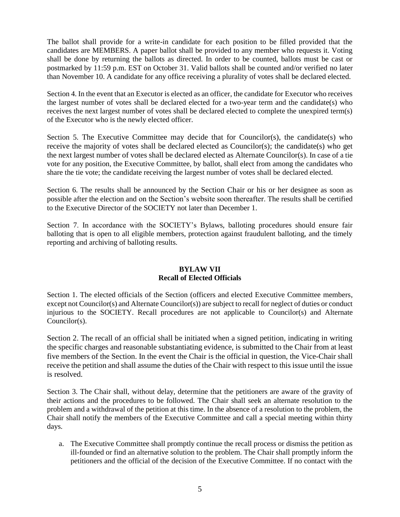The ballot shall provide for a write-in candidate for each position to be filled provided that the candidates are MEMBERS. A paper ballot shall be provided to any member who requests it. Voting shall be done by returning the ballots as directed. In order to be counted, ballots must be cast or postmarked by 11:59 p.m. EST on October 31. Valid ballots shall be counted and/or verified no later than November 10. A candidate for any office receiving a plurality of votes shall be declared elected.

Section 4. In the event that an Executor is elected as an officer, the candidate for Executor who receives the largest number of votes shall be declared elected for a two-year term and the candidate(s) who receives the next largest number of votes shall be declared elected to complete the unexpired term(s) of the Executor who is the newly elected officer.

Section 5. The Executive Committee may decide that for Councilor(s), the candidate(s) who receive the majority of votes shall be declared elected as Councilor(s); the candidate(s) who get the next largest number of votes shall be declared elected as Alternate Councilor(s). In case of a tie vote for any position, the Executive Committee, by ballot, shall elect from among the candidates who share the tie vote; the candidate receiving the largest number of votes shall be declared elected.

Section 6. The results shall be announced by the Section Chair or his or her designee as soon as possible after the election and on the Section's website soon thereafter. The results shall be certified to the Executive Director of the SOCIETY not later than December 1.

Section 7. In accordance with the SOCIETY's Bylaws, balloting procedures should ensure fair balloting that is open to all eligible members, protection against fraudulent balloting, and the timely reporting and archiving of balloting results.

# **BYLAW VII Recall of Elected Officials**

Section 1. The elected officials of the Section (officers and elected Executive Committee members, except not Councilor(s) and Alternate Councilor(s)) are subject to recall for neglect of duties or conduct injurious to the SOCIETY. Recall procedures are not applicable to Councilor(s) and Alternate Councilor(s).

Section 2. The recall of an official shall be initiated when a signed petition, indicating in writing the specific charges and reasonable substantiating evidence, is submitted to the Chair from at least five members of the Section. In the event the Chair is the official in question, the Vice-Chair shall receive the petition and shall assume the duties of the Chair with respect to this issue until the issue is resolved.

Section 3. The Chair shall, without delay, determine that the petitioners are aware of the gravity of their actions and the procedures to be followed. The Chair shall seek an alternate resolution to the problem and a withdrawal of the petition at this time. In the absence of a resolution to the problem, the Chair shall notify the members of the Executive Committee and call a special meeting within thirty days.

a. The Executive Committee shall promptly continue the recall process or dismiss the petition as ill-founded or find an alternative solution to the problem. The Chair shall promptly inform the petitioners and the official of the decision of the Executive Committee. If no contact with the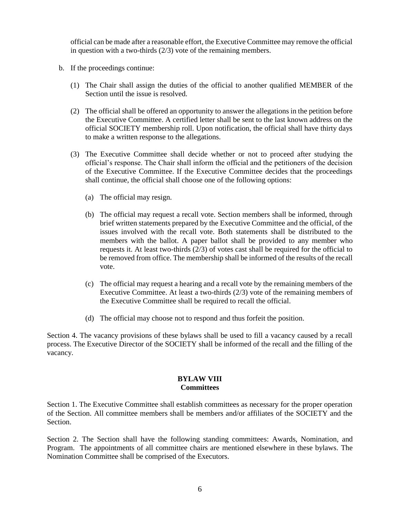official can be made after a reasonable effort, the Executive Committee may remove the official in question with a two-thirds (2/3) vote of the remaining members.

- b. If the proceedings continue:
	- (1) The Chair shall assign the duties of the official to another qualified MEMBER of the Section until the issue is resolved.
	- (2) The official shall be offered an opportunity to answer the allegations in the petition before the Executive Committee. A certified letter shall be sent to the last known address on the official SOCIETY membership roll. Upon notification, the official shall have thirty days to make a written response to the allegations.
	- (3) The Executive Committee shall decide whether or not to proceed after studying the official's response. The Chair shall inform the official and the petitioners of the decision of the Executive Committee. If the Executive Committee decides that the proceedings shall continue, the official shall choose one of the following options:
		- (a) The official may resign.
		- (b) The official may request a recall vote. Section members shall be informed, through brief written statements prepared by the Executive Committee and the official, of the issues involved with the recall vote. Both statements shall be distributed to the members with the ballot. A paper ballot shall be provided to any member who requests it. At least two-thirds (2/3) of votes cast shall be required for the official to be removed from office. The membership shall be informed of the results of the recall vote.
		- (c) The official may request a hearing and a recall vote by the remaining members of the Executive Committee. At least a two-thirds (2/3) vote of the remaining members of the Executive Committee shall be required to recall the official.
		- (d) The official may choose not to respond and thus forfeit the position.

Section 4. The vacancy provisions of these bylaws shall be used to fill a vacancy caused by a recall process. The Executive Director of the SOCIETY shall be informed of the recall and the filling of the vacancy.

#### **BYLAW VIII Committees**

Section 1. The Executive Committee shall establish committees as necessary for the proper operation of the Section. All committee members shall be members and/or affiliates of the SOCIETY and the Section.

Section 2. The Section shall have the following standing committees: Awards, Nomination, and Program. The appointments of all committee chairs are mentioned elsewhere in these bylaws. The Nomination Committee shall be comprised of the Executors.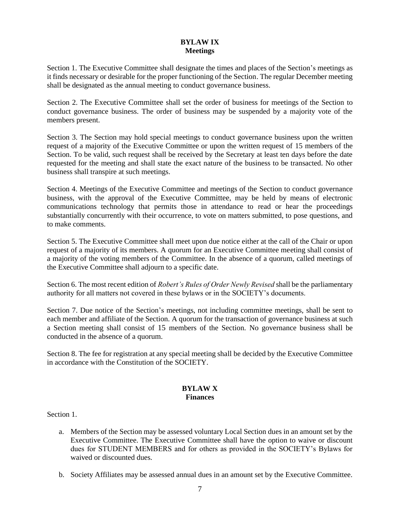# **BYLAW IX Meetings**

Section 1. The Executive Committee shall designate the times and places of the Section's meetings as it finds necessary or desirable for the proper functioning of the Section. The regular December meeting shall be designated as the annual meeting to conduct governance business.

Section 2. The Executive Committee shall set the order of business for meetings of the Section to conduct governance business. The order of business may be suspended by a majority vote of the members present.

Section 3. The Section may hold special meetings to conduct governance business upon the written request of a majority of the Executive Committee or upon the written request of 15 members of the Section. To be valid, such request shall be received by the Secretary at least ten days before the date requested for the meeting and shall state the exact nature of the business to be transacted. No other business shall transpire at such meetings.

Section 4. Meetings of the Executive Committee and meetings of the Section to conduct governance business, with the approval of the Executive Committee, may be held by means of electronic communications technology that permits those in attendance to read or hear the proceedings substantially concurrently with their occurrence, to vote on matters submitted, to pose questions, and to make comments.

Section 5. The Executive Committee shall meet upon due notice either at the call of the Chair or upon request of a majority of its members. A quorum for an Executive Committee meeting shall consist of a majority of the voting members of the Committee. In the absence of a quorum, called meetings of the Executive Committee shall adjourn to a specific date.

Section 6. The most recent edition of *Robert's Rules of Order Newly Revised* shall be the parliamentary authority for all matters not covered in these bylaws or in the SOCIETY's documents.

Section 7. Due notice of the Section's meetings, not including committee meetings, shall be sent to each member and affiliate of the Section. A quorum for the transaction of governance business at such a Section meeting shall consist of 15 members of the Section. No governance business shall be conducted in the absence of a quorum.

Section 8. The fee for registration at any special meeting shall be decided by the Executive Committee in accordance with the Constitution of the SOCIETY.

#### **BYLAW X Finances**

Section 1.

- a. Members of the Section may be assessed voluntary Local Section dues in an amount set by the Executive Committee. The Executive Committee shall have the option to waive or discount dues for STUDENT MEMBERS and for others as provided in the SOCIETY's Bylaws for waived or discounted dues.
- b. Society Affiliates may be assessed annual dues in an amount set by the Executive Committee.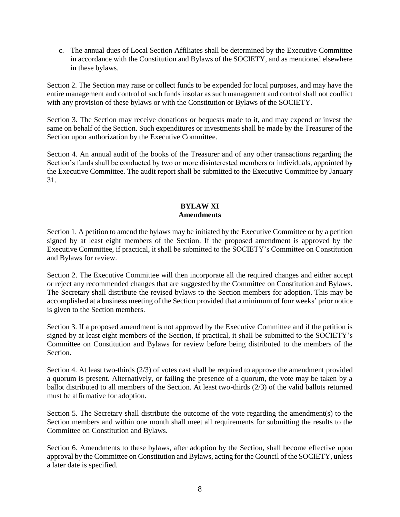c. The annual dues of Local Section Affiliates shall be determined by the Executive Committee in accordance with the Constitution and Bylaws of the SOCIETY, and as mentioned elsewhere in these bylaws.

Section 2. The Section may raise or collect funds to be expended for local purposes, and may have the entire management and control of such funds insofar as such management and control shall not conflict with any provision of these bylaws or with the Constitution or Bylaws of the SOCIETY.

Section 3. The Section may receive donations or bequests made to it, and may expend or invest the same on behalf of the Section. Such expenditures or investments shall be made by the Treasurer of the Section upon authorization by the Executive Committee.

Section 4. An annual audit of the books of the Treasurer and of any other transactions regarding the Section's funds shall be conducted by two or more disinterested members or individuals, appointed by the Executive Committee. The audit report shall be submitted to the Executive Committee by January 31.

### **BYLAW XI Amendments**

Section 1. A petition to amend the bylaws may be initiated by the Executive Committee or by a petition signed by at least eight members of the Section. If the proposed amendment is approved by the Executive Committee, if practical, it shall be submitted to the SOCIETY's Committee on Constitution and Bylaws for review.

Section 2. The Executive Committee will then incorporate all the required changes and either accept or reject any recommended changes that are suggested by the Committee on Constitution and Bylaws. The Secretary shall distribute the revised bylaws to the Section members for adoption. This may be accomplished at a business meeting of the Section provided that a minimum of four weeks' prior notice is given to the Section members.

Section 3. If a proposed amendment is not approved by the Executive Committee and if the petition is signed by at least eight members of the Section, if practical, it shall be submitted to the SOCIETY's Committee on Constitution and Bylaws for review before being distributed to the members of the Section.

Section 4. At least two-thirds (2/3) of votes cast shall be required to approve the amendment provided a quorum is present. Alternatively, or failing the presence of a quorum, the vote may be taken by a ballot distributed to all members of the Section. At least two-thirds (2/3) of the valid ballots returned must be affirmative for adoption.

Section 5. The Secretary shall distribute the outcome of the vote regarding the amendment(s) to the Section members and within one month shall meet all requirements for submitting the results to the Committee on Constitution and Bylaws.

Section 6. Amendments to these bylaws, after adoption by the Section, shall become effective upon approval by the Committee on Constitution and Bylaws, acting for the Council of the SOCIETY, unless a later date is specified.